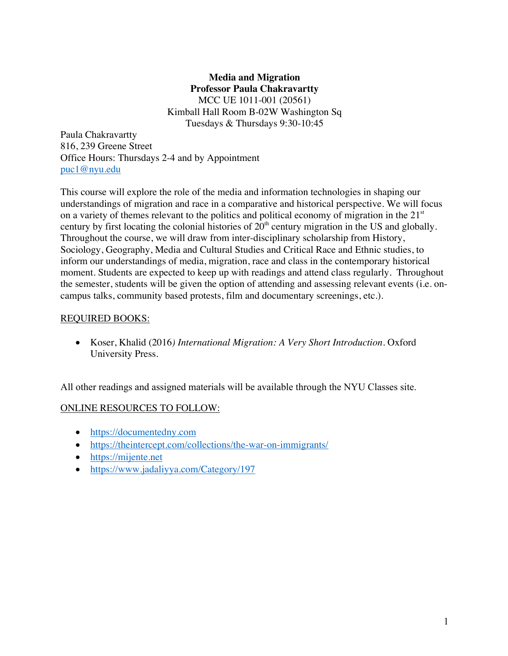**Media and Migration Professor Paula Chakravartty** MCC UE 1011-001 (20561) Kimball Hall Room B-02W Washington Sq Tuesdays & Thursdays 9:30-10:45

Paula Chakravartty 816, 239 Greene Street Office Hours: Thursdays 2-4 and by Appointment puc1@nyu.edu

This course will explore the role of the media and information technologies in shaping our understandings of migration and race in a comparative and historical perspective. We will focus on a variety of themes relevant to the politics and political economy of migration in the  $21<sup>st</sup>$ century by first locating the colonial histories of  $20<sup>th</sup>$  century migration in the US and globally. Throughout the course, we will draw from inter-disciplinary scholarship from History, Sociology, Geography, Media and Cultural Studies and Critical Race and Ethnic studies, to inform our understandings of media, migration, race and class in the contemporary historical moment. Students are expected to keep up with readings and attend class regularly. Throughout the semester, students will be given the option of attending and assessing relevant events (i.e. oncampus talks, community based protests, film and documentary screenings, etc.).

#### REQUIRED BOOKS:

• Koser, Khalid (2016*) International Migration: A Very Short Introduction*. Oxford University Press.

All other readings and assigned materials will be available through the NYU Classes site.

## ONLINE RESOURCES TO FOLLOW:

- https://documentedny.com
- https://theintercept.com/collections/the-war-on-immigrants/
- https://mijente.net
- https://www.jadaliyya.com/Category/197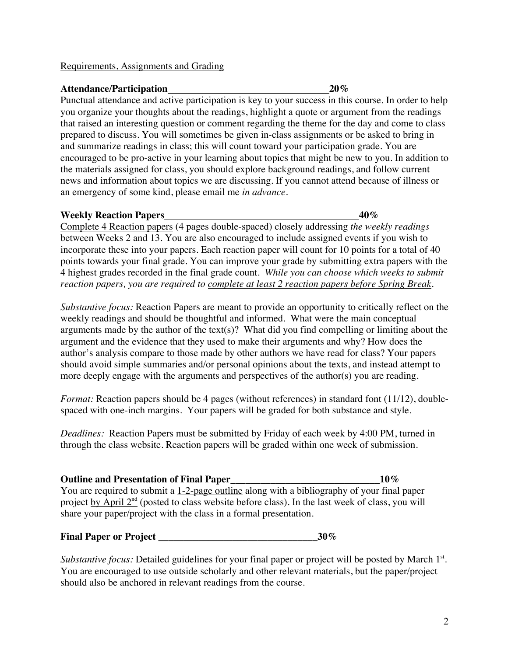#### Requirements, Assignments and Grading

## **Attendance/Participation 20%**

Punctual attendance and active participation is key to your success in this course. In order to help you organize your thoughts about the readings, highlight a quote or argument from the readings that raised an interesting question or comment regarding the theme for the day and come to class prepared to discuss. You will sometimes be given in-class assignments or be asked to bring in and summarize readings in class; this will count toward your participation grade. You are encouraged to be pro-active in your learning about topics that might be new to you. In addition to the materials assigned for class, you should explore background readings, and follow current news and information about topics we are discussing. If you cannot attend because of illness or an emergency of some kind, please email me *in advance.* 

#### **Weekly Reaction Papers 40%**

Complete 4 Reaction papers (4 pages double-spaced) closely addressing *the weekly readings* between Weeks 2 and 13. You are also encouraged to include assigned events if you wish to incorporate these into your papers. Each reaction paper will count for 10 points for a total of 40 points towards your final grade. You can improve your grade by submitting extra papers with the 4 highest grades recorded in the final grade count. *While you can choose which weeks to submit reaction papers, you are required to complete at least 2 reaction papers before Spring Break*.

*Substantive focus:* Reaction Papers are meant to provide an opportunity to critically reflect on the weekly readings and should be thoughtful and informed. What were the main conceptual arguments made by the author of the text(s)? What did you find compelling or limiting about the argument and the evidence that they used to make their arguments and why? How does the author's analysis compare to those made by other authors we have read for class? Your papers should avoid simple summaries and/or personal opinions about the texts, and instead attempt to more deeply engage with the arguments and perspectives of the author(s) you are reading.

*Format:* Reaction papers should be 4 pages (without references) in standard font (11/12), doublespaced with one-inch margins. Your papers will be graded for both substance and style.

*Deadlines:* Reaction Papers must be submitted by Friday of each week by 4:00 PM, turned in through the class website. Reaction papers will be graded within one week of submission.

**Outline and Presentation of Final Paper\_\_\_\_\_\_\_\_\_\_\_\_\_\_\_\_\_\_\_\_\_\_\_\_\_\_\_\_\_\_10%** You are required to submit a 1-2-page outline along with a bibliography of your final paper project by April  $2<sup>nd</sup>$  (posted to class website before class). In the last week of class, you will share your paper/project with the class in a formal presentation.

**Final Paper or Project \_\_\_\_\_\_\_\_\_\_\_\_\_\_\_\_\_\_\_\_\_\_\_\_\_\_\_\_\_\_\_\_30%**

Substantive focus: Detailed guidelines for your final paper or project will be posted by March 1<sup>st</sup>. You are encouraged to use outside scholarly and other relevant materials, but the paper/project should also be anchored in relevant readings from the course.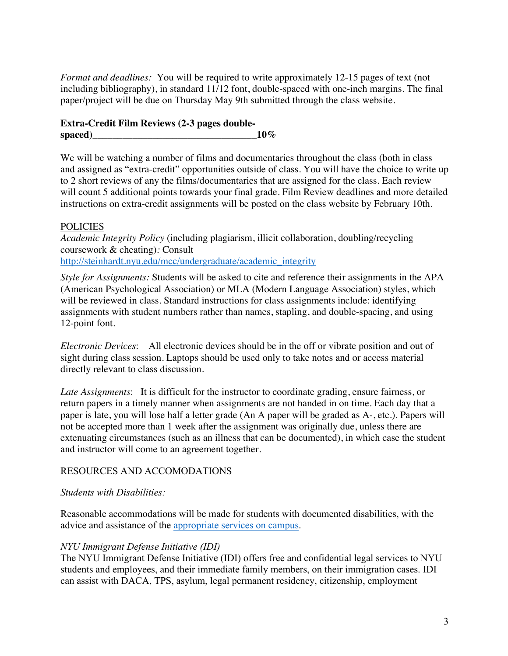*Format and deadlines:* You will be required to write approximately 12-15 pages of text (not including bibliography), in standard 11/12 font, double-spaced with one-inch margins. The final paper/project will be due on Thursday May 9th submitted through the class website.

## **Extra-Credit Film Reviews (2-3 pages double-** $\text{spaced)}$  and  $10\%$

We will be watching a number of films and documentaries throughout the class (both in class and assigned as "extra-credit" opportunities outside of class. You will have the choice to write up to 2 short reviews of any the films/documentaries that are assigned for the class. Each review will count 5 additional points towards your final grade. Film Review deadlines and more detailed instructions on extra-credit assignments will be posted on the class website by February 10th.

## **POLICIES**

*Academic Integrity Policy* (including plagiarism, illicit collaboration, doubling/recycling coursework & cheating)*:* Consult http://steinhardt.nyu.edu/mcc/undergraduate/academic\_integrity

*Style for Assignments:* Students will be asked to cite and reference their assignments in the APA (American Psychological Association) or MLA (Modern Language Association) styles, which will be reviewed in class. Standard instructions for class assignments include: identifying assignments with student numbers rather than names, stapling, and double-spacing, and using 12-point font.

*Electronic Devices*: All electronic devices should be in the off or vibrate position and out of sight during class session. Laptops should be used only to take notes and or access material directly relevant to class discussion.

*Late Assignments*: It is difficult for the instructor to coordinate grading, ensure fairness, or return papers in a timely manner when assignments are not handed in on time. Each day that a paper is late, you will lose half a letter grade (An A paper will be graded as A-, etc.). Papers will not be accepted more than 1 week after the assignment was originally due, unless there are extenuating circumstances (such as an illness that can be documented), in which case the student and instructor will come to an agreement together.

# RESOURCES AND ACCOMODATIONS

## *Students with Disabilities:*

Reasonable accommodations will be made for students with documented disabilities, with the advice and assistance of the appropriate services on campus.

## *NYU Immigrant Defense Initiative (IDI)*

The NYU Immigrant Defense Initiative (IDI) offers free and confidential legal services to NYU students and employees, and their immediate family members, on their immigration cases. IDI can assist with DACA, TPS, asylum, legal permanent residency, citizenship, employment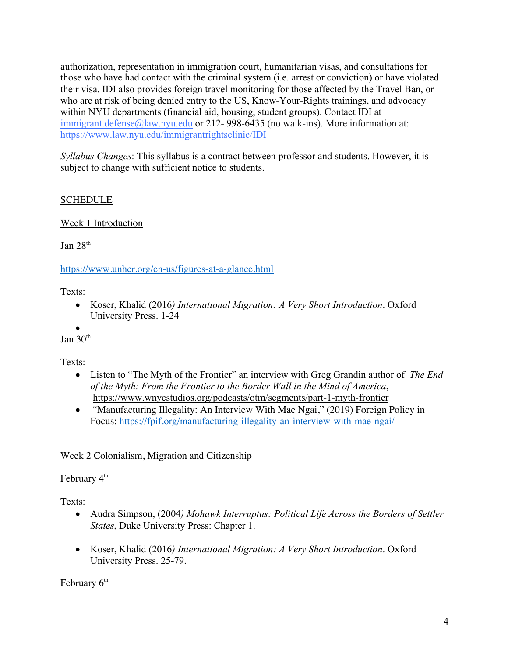authorization, representation in immigration court, humanitarian visas, and consultations for those who have had contact with the criminal system (i.e. arrest or conviction) or have violated their visa. IDI also provides foreign travel monitoring for those affected by the Travel Ban, or who are at risk of being denied entry to the US, Know-Your-Rights trainings, and advocacy within NYU departments (financial aid, housing, student groups). Contact IDI at immigrant.defense@law.nyu.edu or 212-998-6435 (no walk-ins). More information at: https://www.law.nyu.edu/immigrantrightsclinic/IDI

*Syllabus Changes*: This syllabus is a contract between professor and students. However, it is subject to change with sufficient notice to students.

# SCHEDULE

# Week 1 Introduction

Ian  $28<sup>th</sup>$ 

https://www.unhcr.org/en-us/figures-at-a-glance.html

Texts:

• Koser, Khalid (2016*) International Migration: A Very Short Introduction*. Oxford University Press. 1-24

• Jan  $30<sup>th</sup>$ 

Texts:

- Listen to "The Myth of the Frontier" an interview with Greg Grandin author of *The End of the Myth: From the Frontier to the Border Wall in the Mind of America*, https://www.wnycstudios.org/podcasts/otm/segments/part-1-myth-frontier
- "Manufacturing Illegality: An Interview With Mae Ngai," (2019) Foreign Policy in Focus: https://fpif.org/manufacturing-illegality-an-interview-with-mae-ngai/

# Week 2 Colonialism, Migration and Citizenship

February  $4<sup>th</sup>$ 

Texts:

- Audra Simpson, (2004*) Mohawk Interruptus: Political Life Across the Borders of Settler States*, Duke University Press: Chapter 1.
- Koser, Khalid (2016*) International Migration: A Very Short Introduction*. Oxford University Press. 25-79.

February 6<sup>th</sup>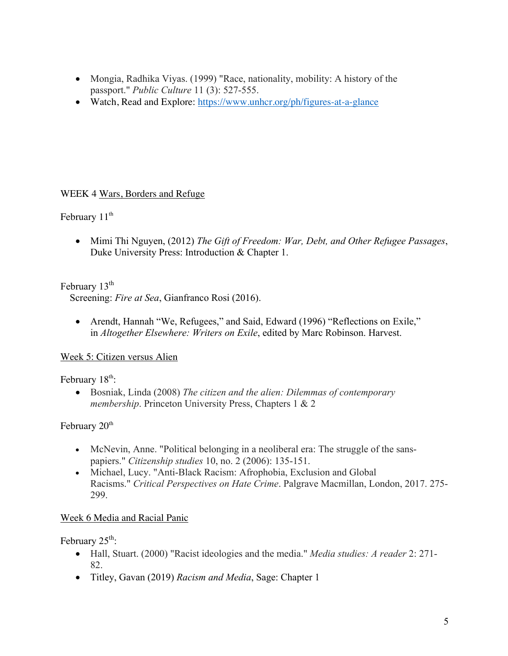- Mongia, Radhika Viyas. (1999) "Race, nationality, mobility: A history of the passport." *Public Culture* 11 (3): 527-555.
- Watch, Read and Explore: https://www.unhcr.org/ph/figures-at-a-glance

# WEEK 4 Wars, Borders and Refuge

## February  $11<sup>th</sup>$

• Mimi Thi Nguyen, (2012) *The Gift of Freedom: War, Debt, and Other Refugee Passages*, Duke University Press: Introduction & Chapter 1.

# February  $13<sup>th</sup>$

Screening: *Fire at Sea*, Gianfranco Rosi (2016).

• Arendt, Hannah "We, Refugees," and Said, Edward (1996) "Reflections on Exile," in *Altogether Elsewhere: Writers on Exile*, edited by Marc Robinson. Harvest.

# Week 5: Citizen versus Alien

# February  $18<sup>th</sup>$ :

• Bosniak, Linda (2008) *The citizen and the alien: Dilemmas of contemporary membership*. Princeton University Press, Chapters 1 & 2

# February 20<sup>th</sup>

- McNevin, Anne. "Political belonging in a neoliberal era: The struggle of the sanspapiers." *Citizenship studies* 10, no. 2 (2006): 135-151.
- Michael, Lucy. "Anti-Black Racism: Afrophobia, Exclusion and Global Racisms." *Critical Perspectives on Hate Crime*. Palgrave Macmillan, London, 2017. 275- 299.

# Week 6 Media and Racial Panic

February  $25<sup>th</sup>$ :

- Hall, Stuart. (2000) "Racist ideologies and the media." *Media studies: A reader* 2: 271- 82.
- Titley, Gavan (2019) *Racism and Media*, Sage: Chapter 1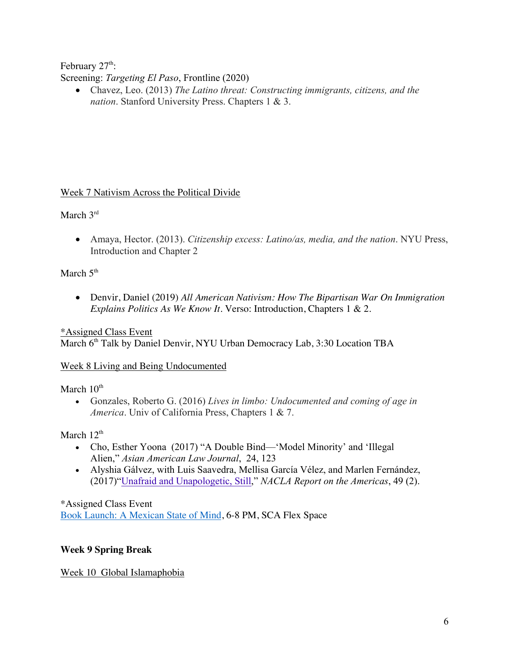February  $27<sup>th</sup>$ : Screening: *Targeting El Paso*, Frontline (2020)

• Chavez, Leo. (2013) *The Latino threat: Constructing immigrants, citizens, and the nation*. Stanford University Press. Chapters 1 & 3.

# Week 7 Nativism Across the Political Divide

March 3rd

• Amaya, Hector. (2013). *Citizenship excess: Latino/as, media, and the nation*. NYU Press, Introduction and Chapter 2

March  $5<sup>th</sup>$ 

• Denvir, Daniel (2019) *All American Nativism: How The Bipartisan War On Immigration Explains Politics As We Know It*. Verso: Introduction, Chapters 1 & 2.

\*Assigned Class Event March 6<sup>th</sup> Talk by Daniel Denvir, NYU Urban Democracy Lab, 3:30 Location TBA

Week 8 Living and Being Undocumented

March  $10<sup>th</sup>$ 

• Gonzales, Roberto G. (2016) *Lives in limbo: Undocumented and coming of age in America*. Univ of California Press, Chapters 1 & 7.

March  $12<sup>th</sup>$ 

- Cho, Esther Yoona (2017) "A Double Bind—'Model Minority' and 'Illegal Alien," *Asian American Law Journal*, 24, 123
- Alyshia Gálvez, with Luis Saavedra, Mellisa García Vélez, and Marlen Fernández, (2017)"Unafraid and Unapologetic, Still," *NACLA Report on the Americas*, 49 (2).

\*Assigned Class Event Book Launch: A Mexican State of Mind, 6-8 PM, SCA Flex Space

# **Week 9 Spring Break**

Week 10 Global Islamaphobia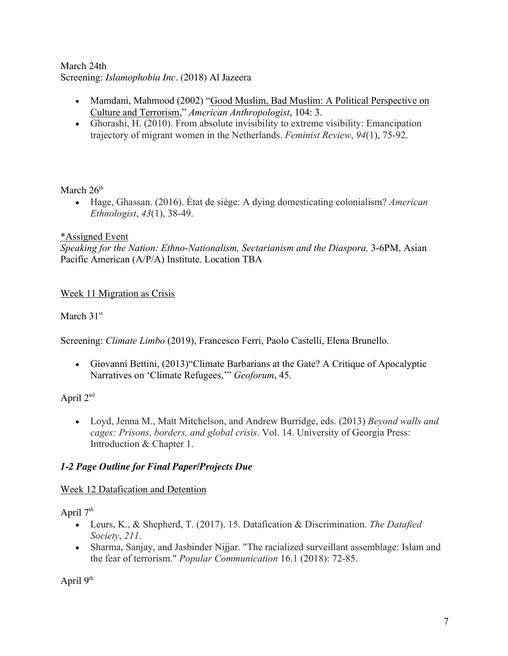## March 24th Screening: *Islamophobia Inc.* (2018) Al Jazeera

- Mamdani, Mahmood (2002) "Good Muslim, Bad Muslim: A Political Perspective on Culture and Terrorism," *American Anthropologist*, 104: 3.
- Ghorashi, H. (2010). From absolute invisibility to extreme visibility: Emancipation trajectory of migrant women in the Netherlands. *Feminist Review*, *94*(1), 75-92.

# March  $26<sup>th</sup>$

• Hage, Ghassan. (2016). État de siège: A dying domesticating colonialism? *American Ethnologist*, *43*(1), 38-49.

# \*Assigned Event

*Speaking for the Nation: Ethno-Nationalism, Sectarianism and the Diaspora,* 3-6PM, Asian Pacific American (A/P/A) Institute. Location TBA

# Week 11 Migration as Crisis

# March 31<sup>st</sup>

Screening: *Climate Limbo* (2019), Francesco Ferri, Paolo Castelli, Elena Brunello.

• Giovanni Bettini, (2013)"Climate Barbarians at the Gate? A Critique of Apocalyptic Narratives on 'Climate Refugees,'" *Geoforum*, 45.

# April 2nd

• Loyd, Jenna M., Matt Mitchelson, and Andrew Burridge, eds. (2013) *Beyond walls and cages: Prisons, borders, and global crisis*. Vol. 14. University of Georgia Press: Introduction & Chapter 1.

# *1-2 Page Outline for Final Paper/Projects Due*

# Week 12 Datafication and Detention

April  $7<sup>th</sup>$ 

- Leurs, K., & Shepherd, T. (2017). 15. Datafication & Discrimination. *The Datafied Society*, *211*.
- Sharma, Sanjay, and Jasbinder Nijjar. "The racialized surveillant assemblage: Islam and the fear of terrorism." *Popular Communication* 16.1 (2018): 72-85.

April  $9<sup>th</sup>$